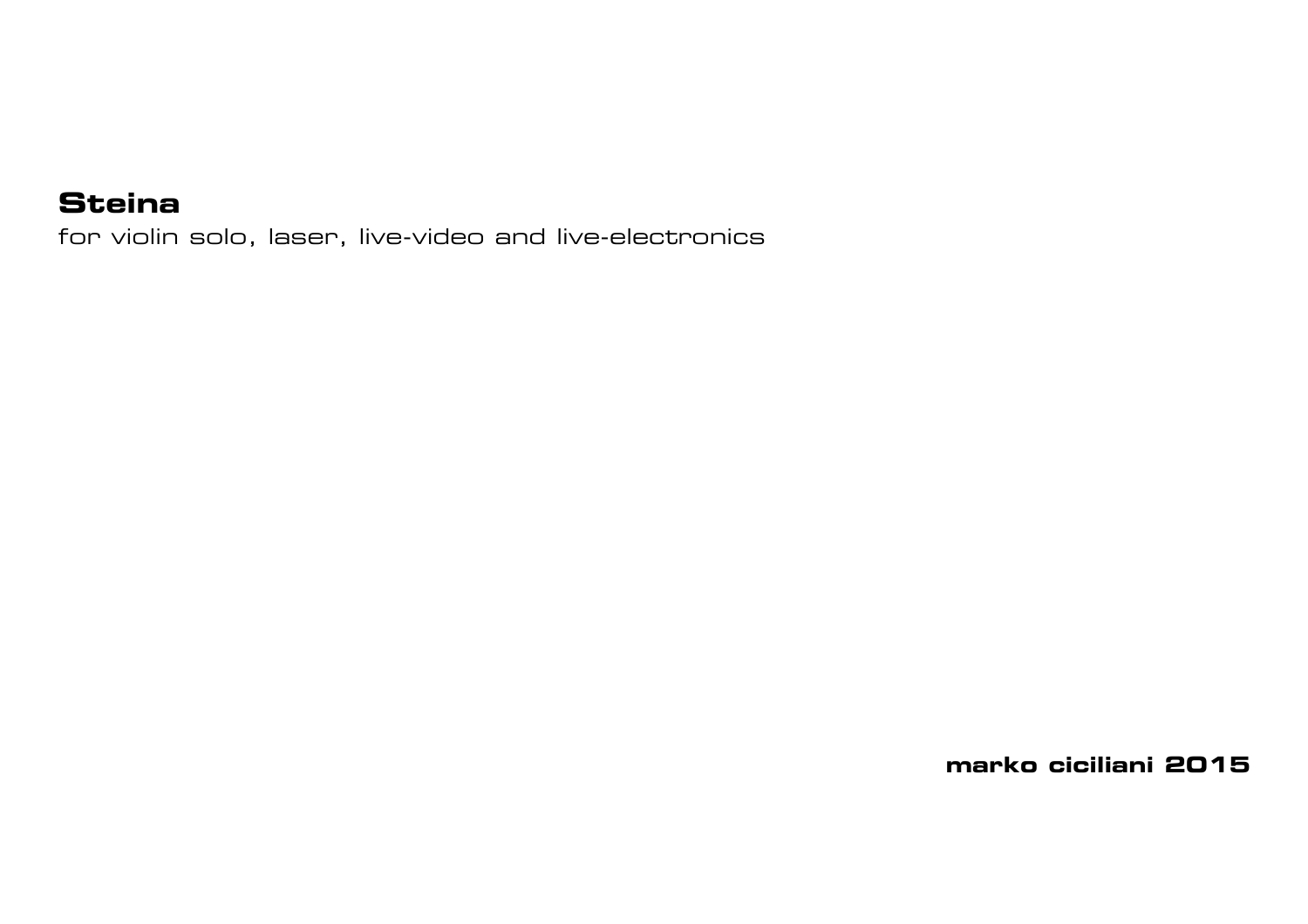## **Steina**

for violin solo, laser, live-video and live-electronics

**marko ciciliani 2015**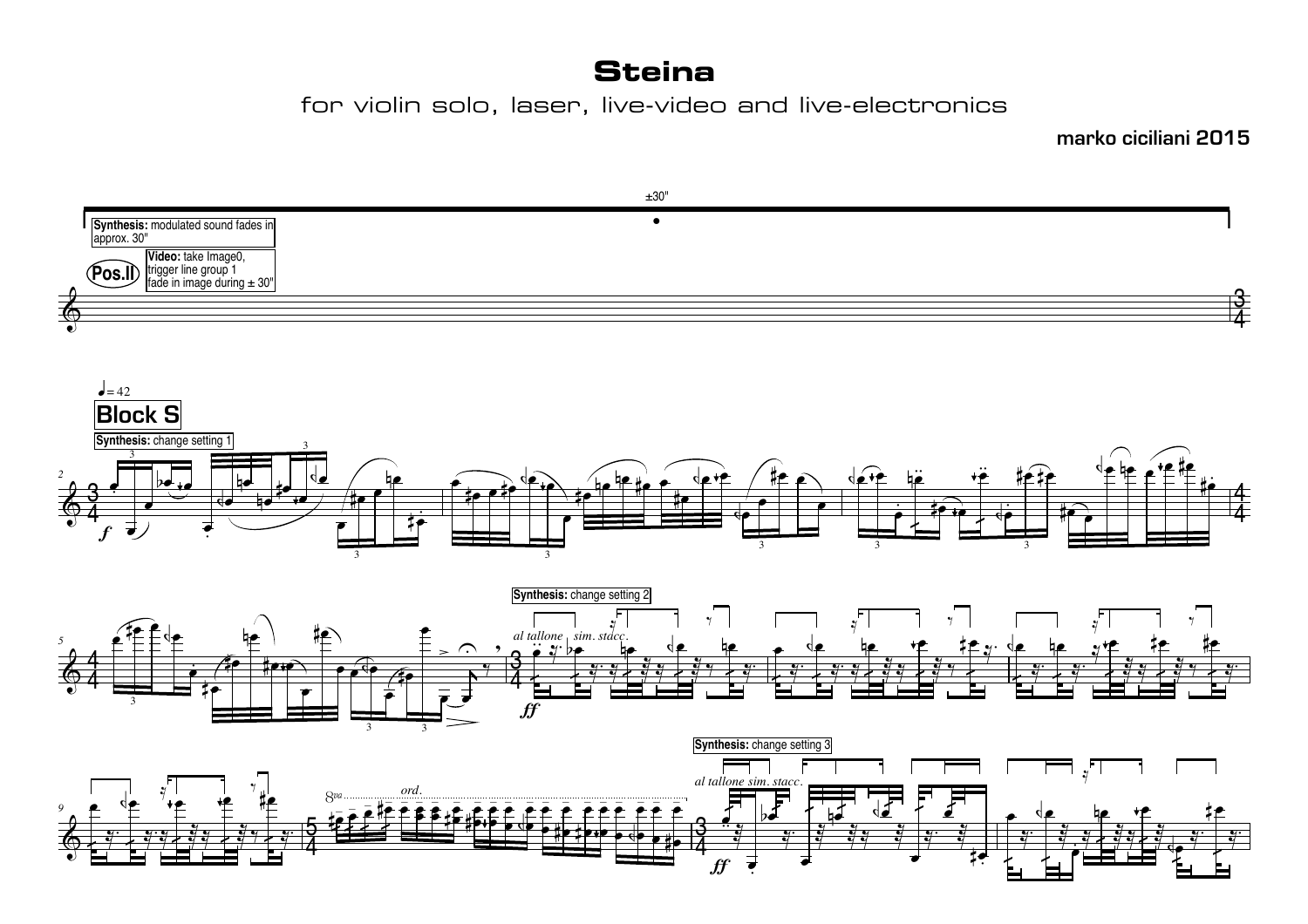## **Steina**

for violin solo, laser, live-video and live-electronics

**marko ciciliani 2015**

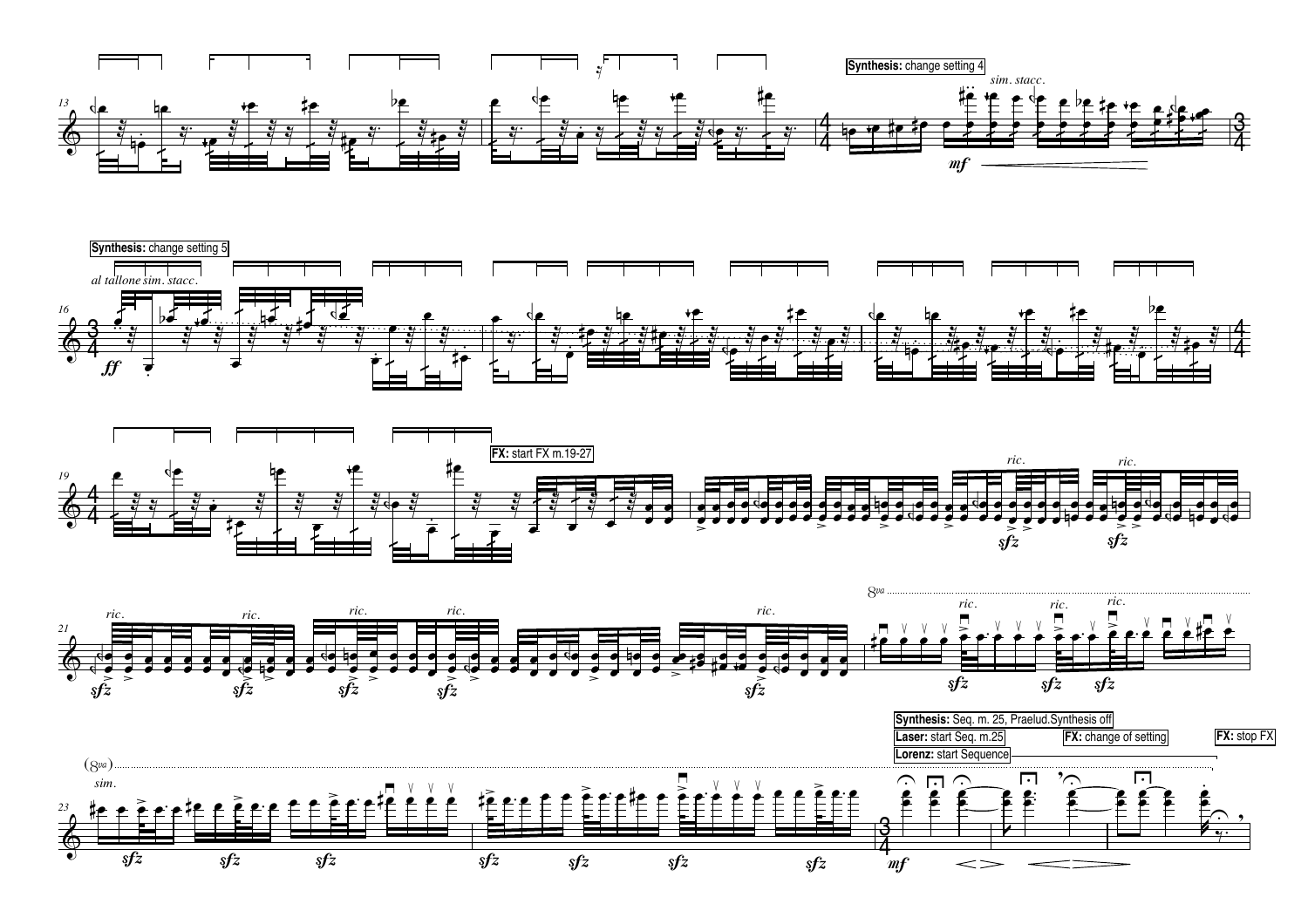







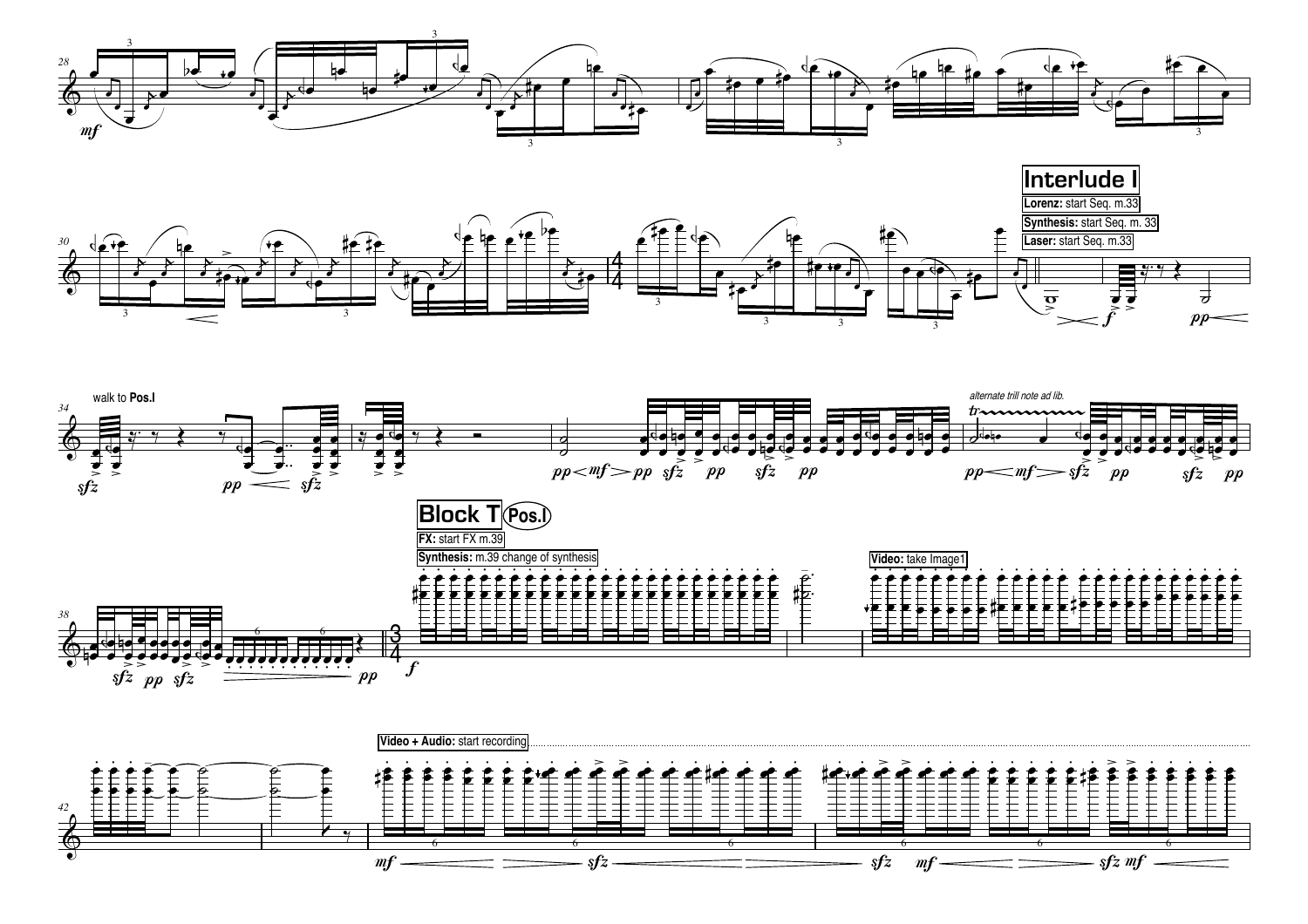





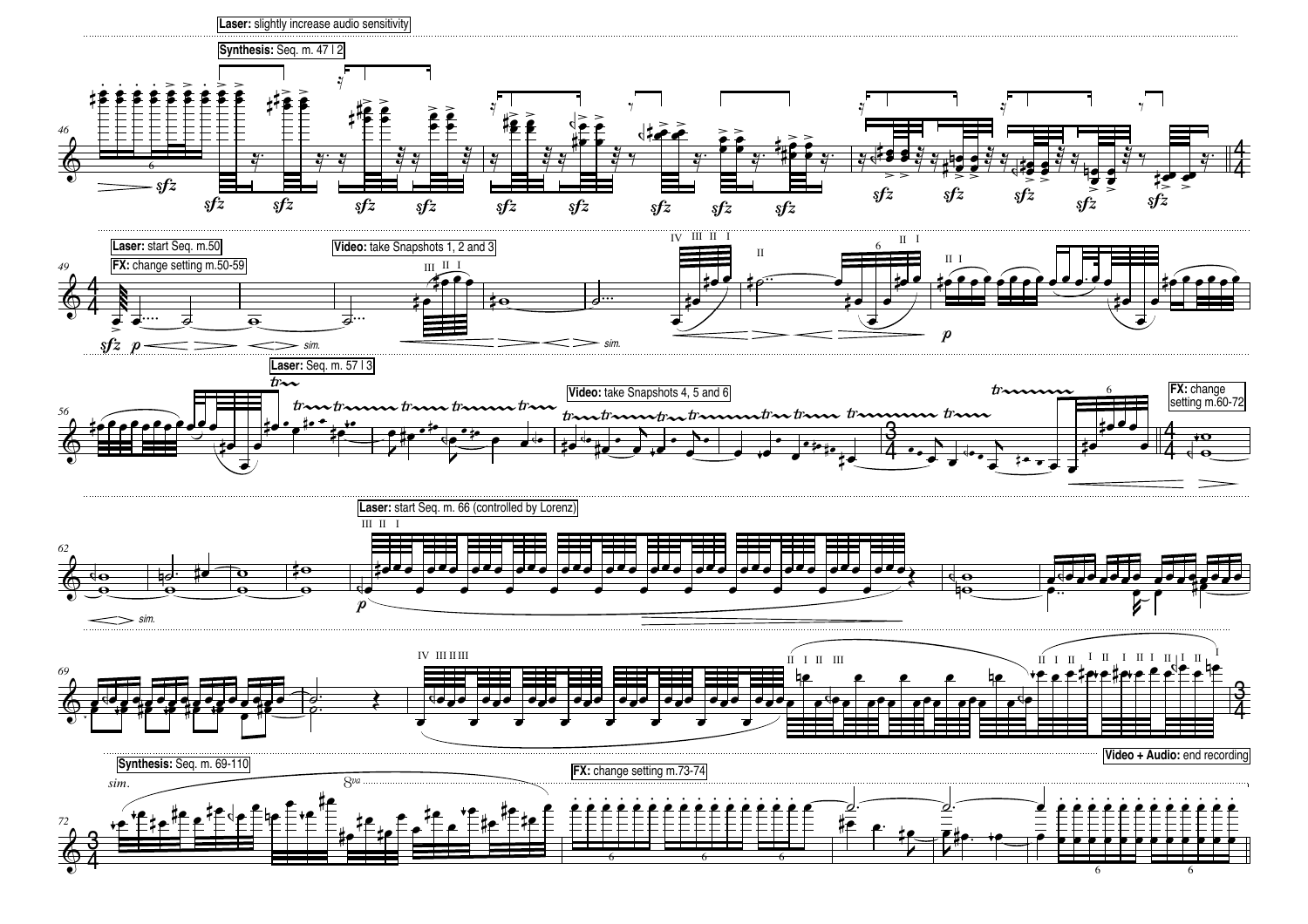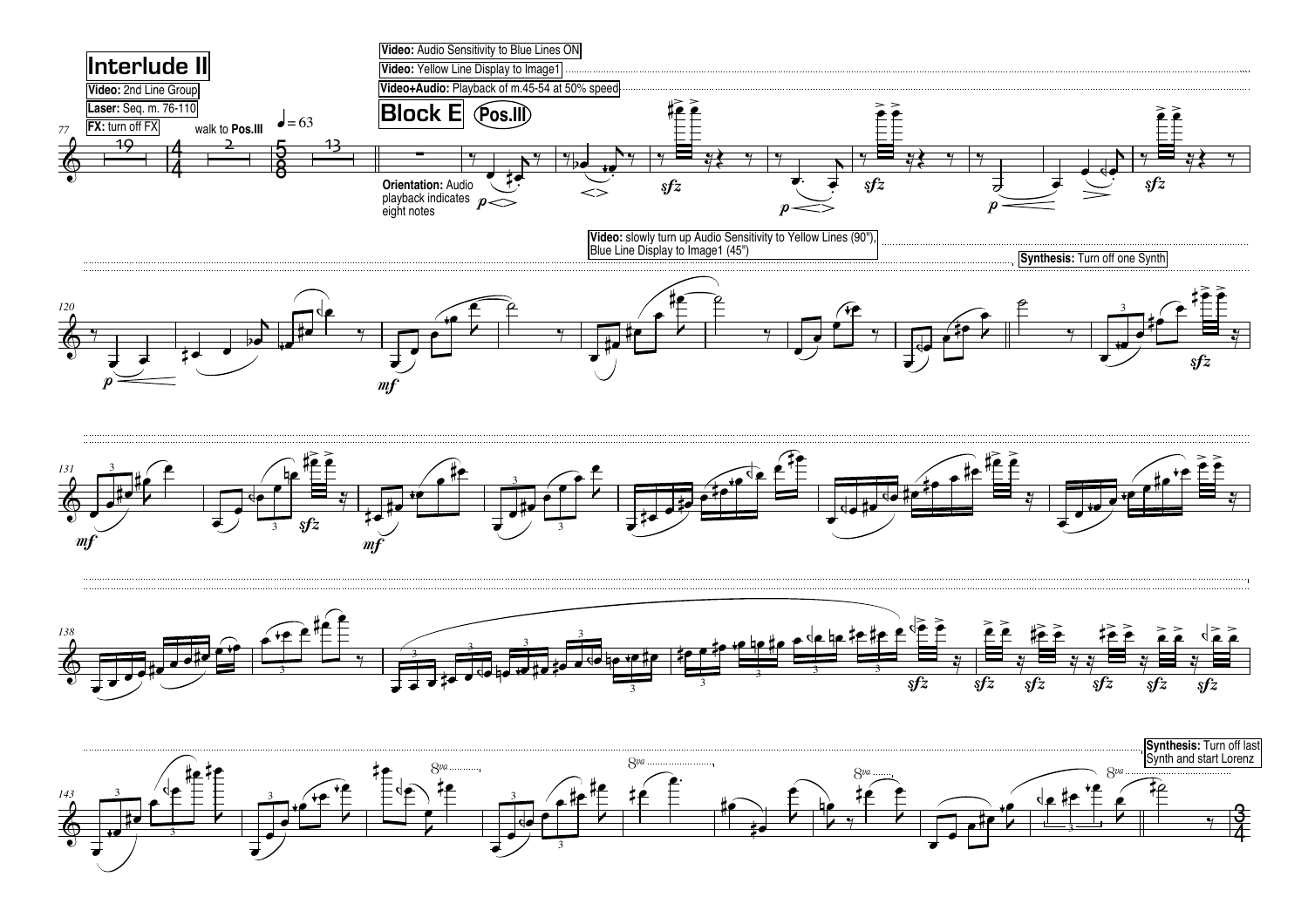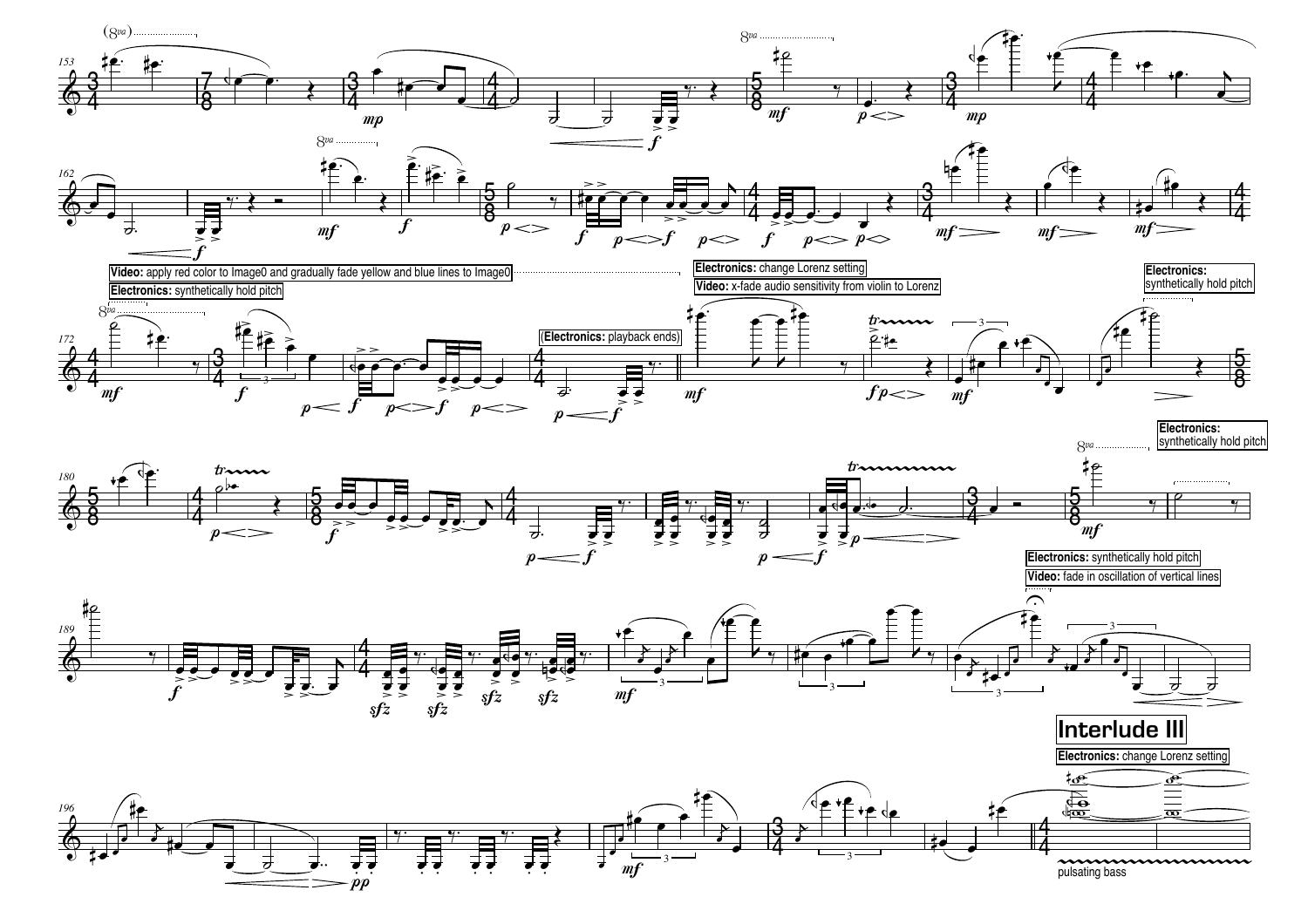![](_page_6_Figure_0.jpeg)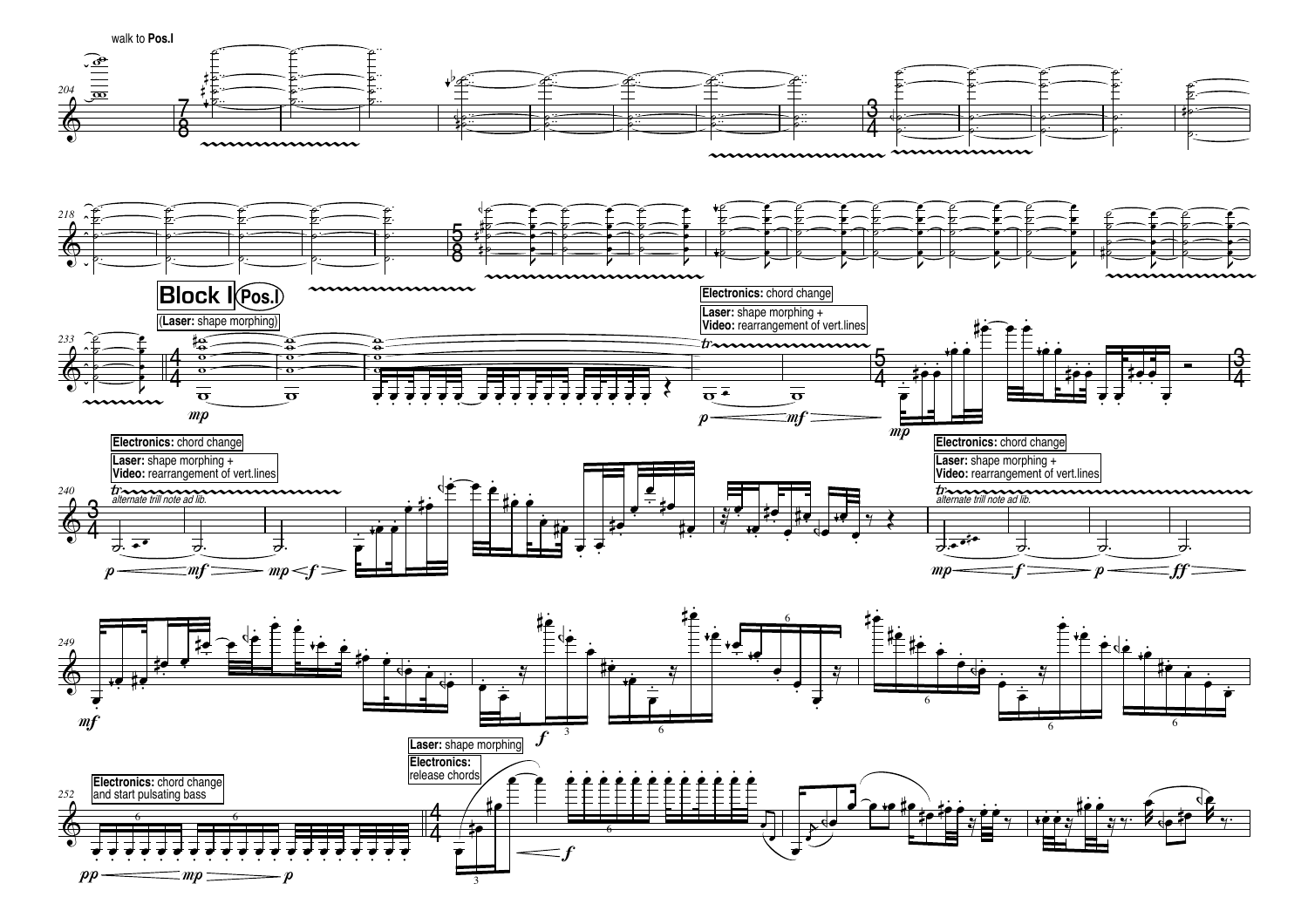![](_page_7_Figure_0.jpeg)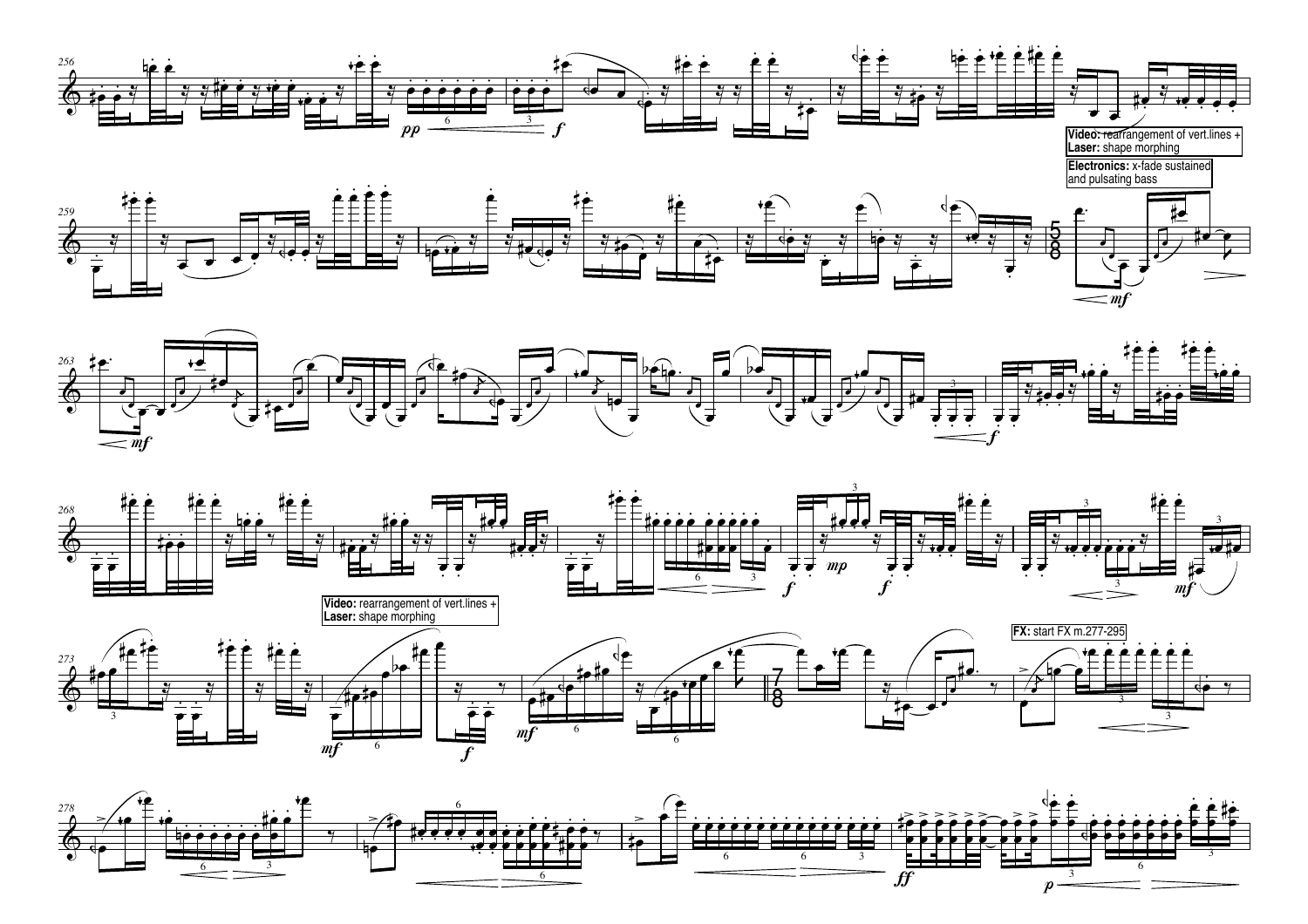![](_page_8_Figure_0.jpeg)

![](_page_8_Figure_1.jpeg)

![](_page_8_Figure_2.jpeg)

![](_page_8_Figure_3.jpeg)

![](_page_8_Figure_4.jpeg)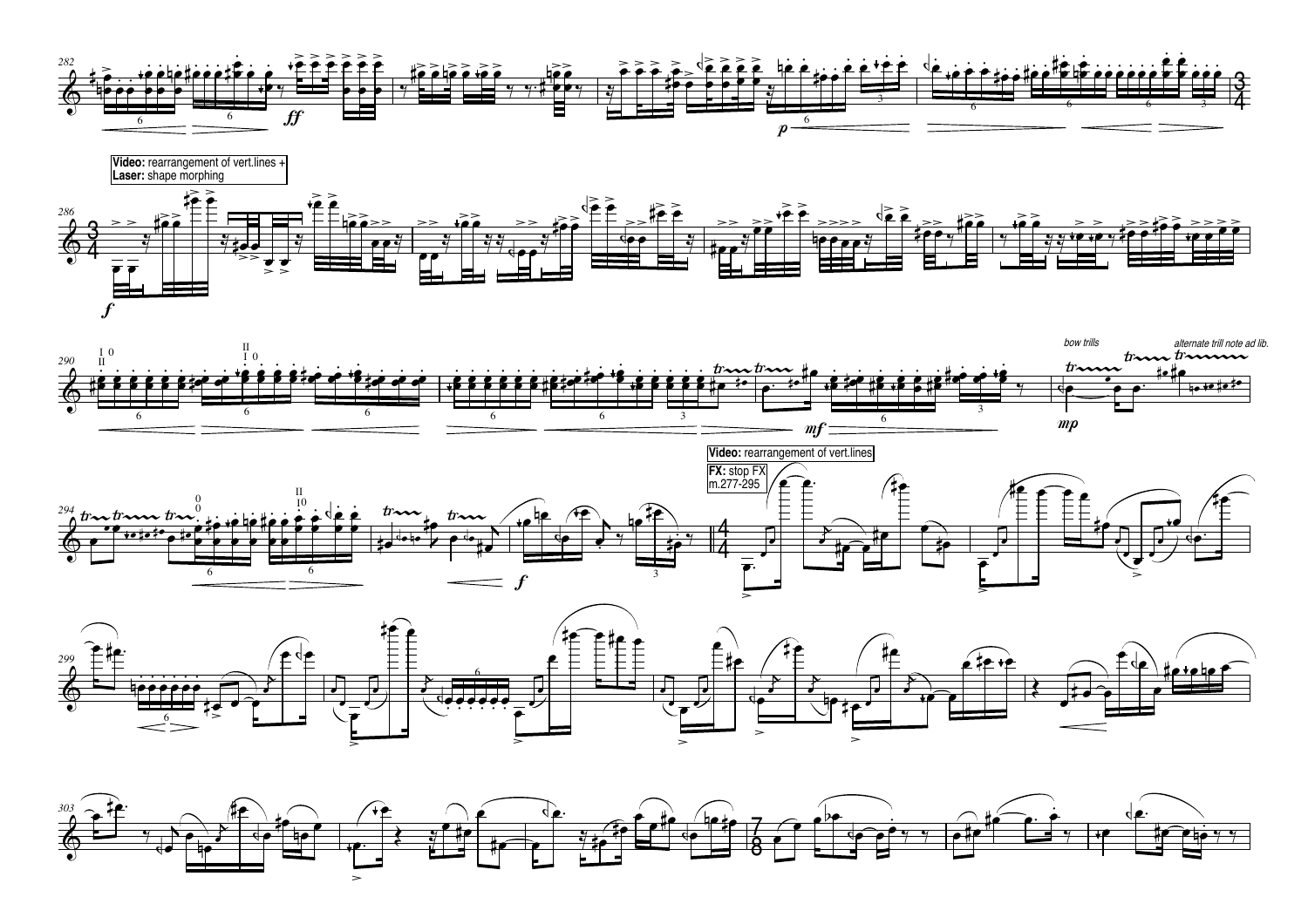![](_page_9_Figure_0.jpeg)

![](_page_9_Figure_1.jpeg)

![](_page_9_Figure_2.jpeg)

![](_page_9_Figure_3.jpeg)

![](_page_9_Figure_4.jpeg)

![](_page_9_Figure_5.jpeg)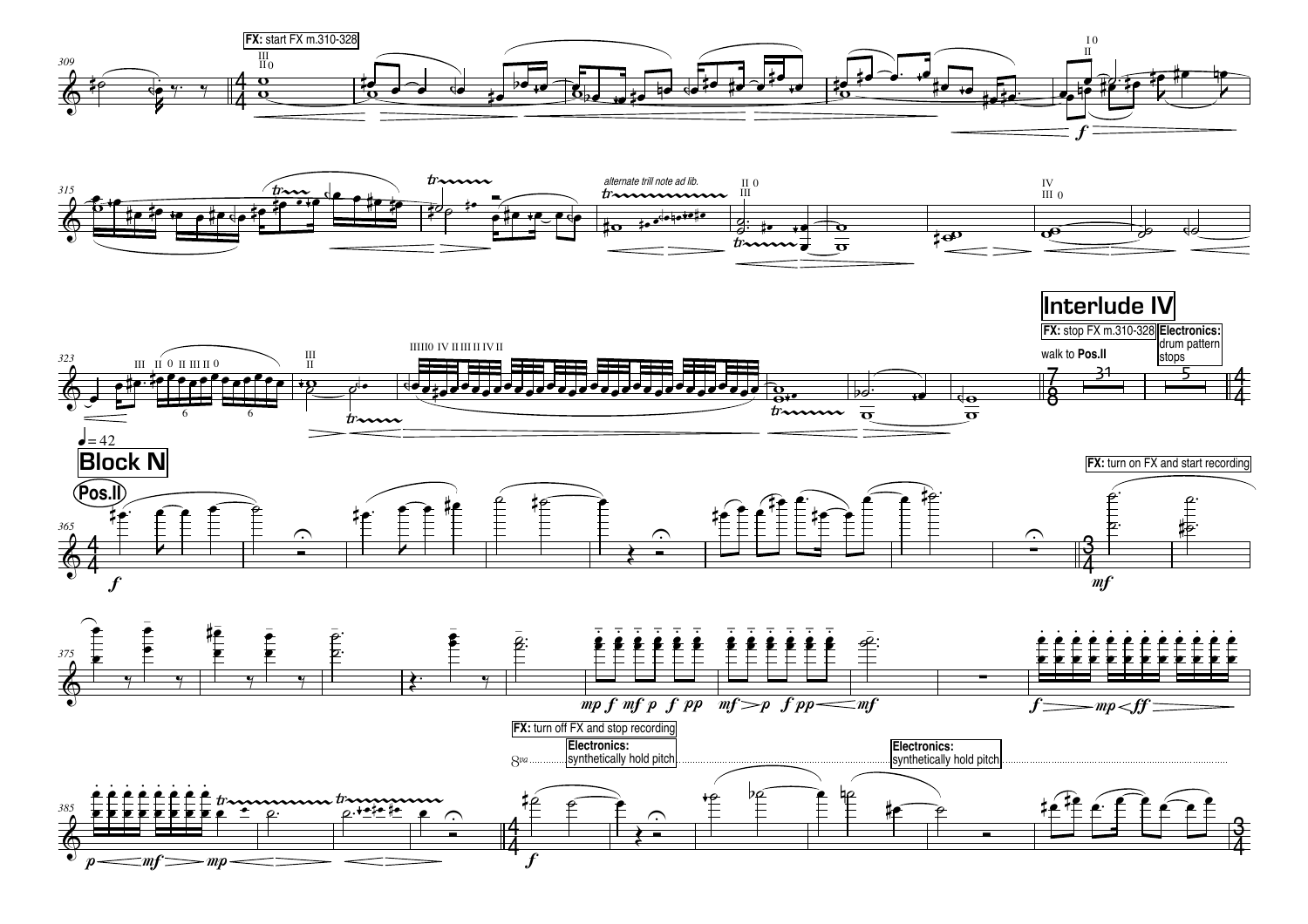![](_page_10_Figure_0.jpeg)

![](_page_10_Figure_1.jpeg)

![](_page_10_Figure_2.jpeg)

![](_page_10_Figure_3.jpeg)

![](_page_10_Figure_4.jpeg)

 $\mathit{\subseteq}$ m $f$   $\Longrightarrow$ m $p$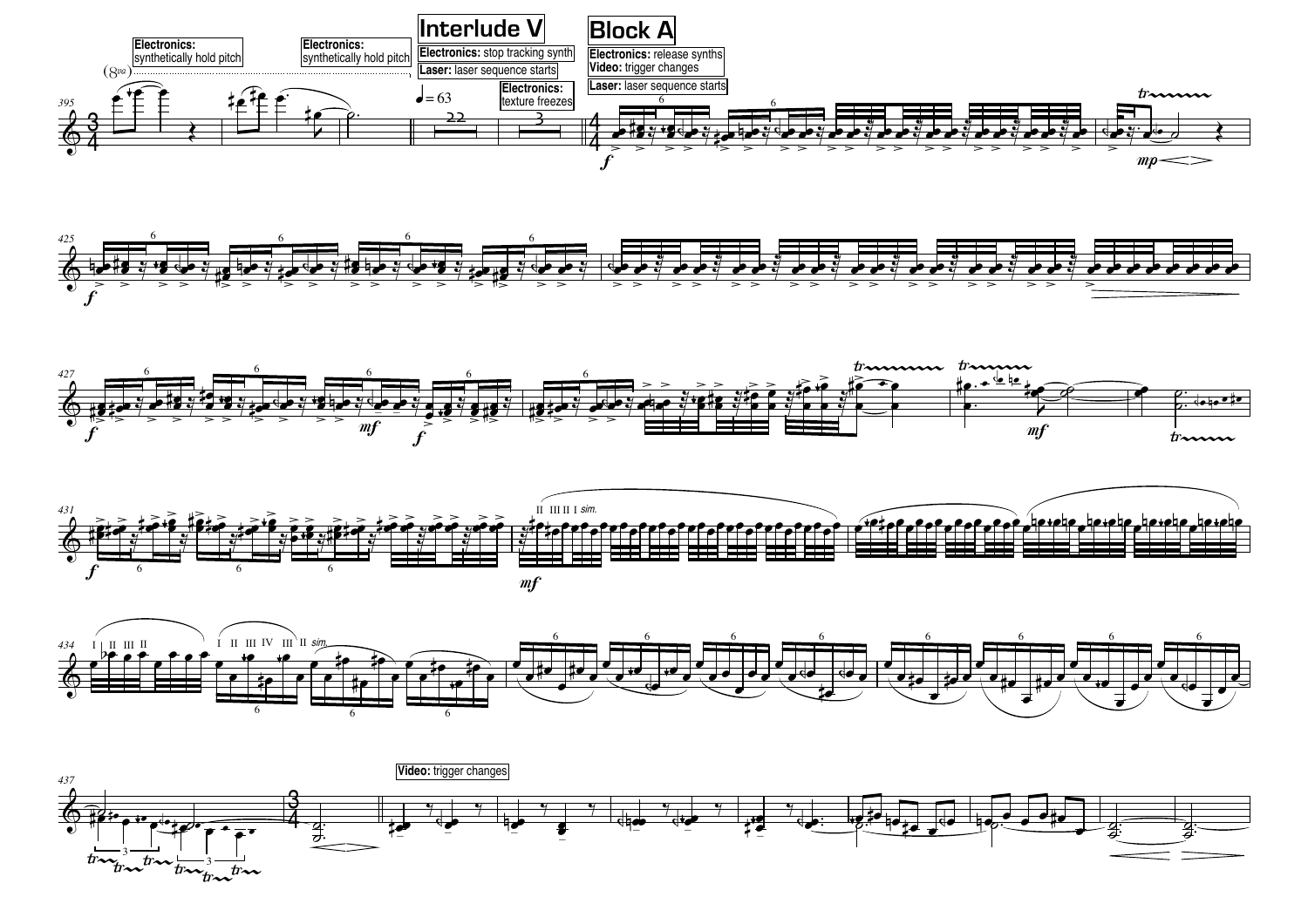![](_page_11_Figure_0.jpeg)

![](_page_11_Figure_1.jpeg)

![](_page_11_Figure_2.jpeg)

![](_page_11_Figure_3.jpeg)

![](_page_11_Figure_4.jpeg)

![](_page_11_Figure_5.jpeg)